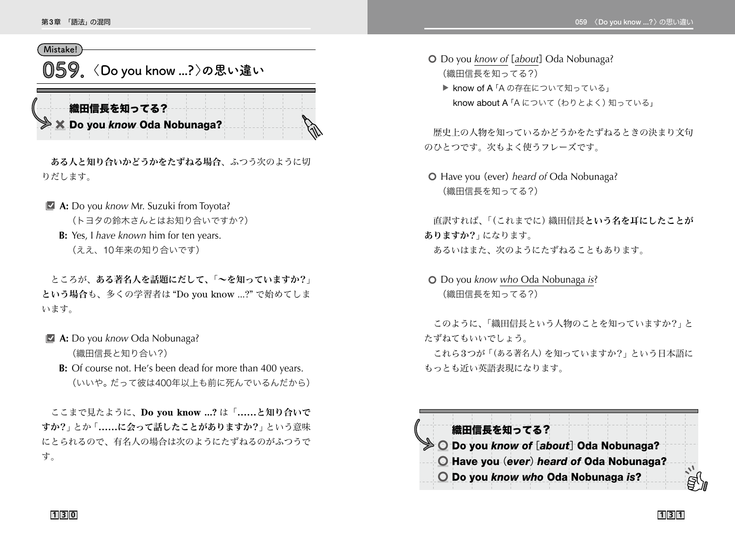## **Mistake!**

**059 〈 Do you know ...? 〉の思い違い**

織田信長を知ってる? × Do you *know* Oda Nobunaga?

ある人と知り合いかどうかをたずねる場合、ふつう次のように切 りだします。

**A:** Do you *know* Mr. Suzuki from Toyota?

(トヨタの鈴木さんとはお知り合いですか?)

**B:** Yes, I *have known* him for ten years.

(ええ、10年来の知り合いです)

 ところが、ある著名人を話題にだして、「~を知っていますか?」 という場合も、多くの学習者は "Do you know ...?" で始めてしま います。

- **E** A: Do you *know* Oda Nobunaga? (織田信長と知り合い?)
	- **B:** Of course not. He's been dead for more than 400 years. (いいや。だって彼は400年以上も前に死んでいるんだから)

 ここまで見たように、**Do you know ...?** は「**……**と知り合いで すか?」とか「**……**に会って話したことがありますか?」という意味 にとられるので、有名人の場合は次のようにたずねるのがふつうで す。

- **O** Do you *know of* [*about*] Oda Nobunaga? (織田信長を知ってる?)
	- ▶ know of A 「A の存在について知っている」 know about A「A について(わりとよく)知っている」

 歴史上の人物を知っているかどうかをたずねるときの決まり文句 のひとつです。次もよく使うフレーズです。

5 Have you (ever)*heard of* Oda Nobunaga? (織田信長を知ってる?)

 直訳すれば、「(これまでに)織田信長という名を耳にしたことが ありますか?」になります。 あるいはまた、次のようにたずねることもあります。

5 Do you *know who* Oda Nobunaga *is*? (織田信長を知ってる?)

このように、「織田信長という人物のことを知っていますか?」と たずねてもいいでしょう。

これら3つが「(ある著名人)を知っていますか?」という日本語に もっとも近い英語表現になります。